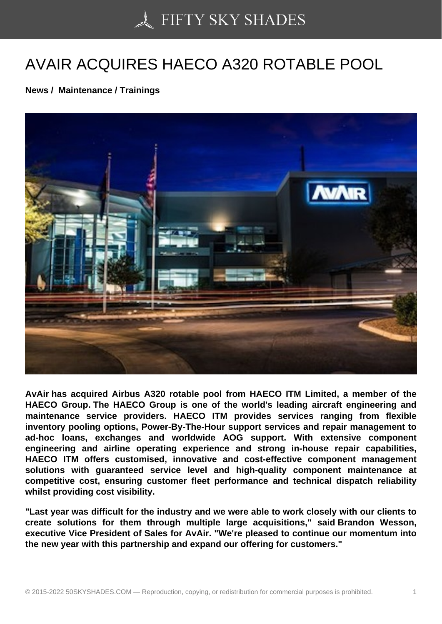## [AVAIR ACQUIRES HA](https://50skyshades.com)ECO A320 ROTABLE POOL

News / Maintenance / Trainings

AvAir has acquired Airbus A320 rotable pool from HAECO ITM Limited, a member of the HAECO Group. The HAECO Group is one of the world's leading aircraft engineering and maintenance service providers. HAECO ITM provides services ranging from flexible inventory pooling options, Power-By-The-Hour support services and repair management to ad-hoc loans, exchanges and worldwide AOG support. With extensive component engineering and airline operating experience and strong in-house repair capabilities, HAECO ITM offers customised, innovative and cost-effective component management solutions with guaranteed service level and high-quality component maintenance at competitive cost, ensuring customer fleet performance and technical dispatch reliability whilst providing cost visibility.

"Last year was difficult for the industry and we were able to work closely with our clients to create solutions for them through multiple large acquisitions," said Brandon Wesson, executive Vice President of Sales for AvAir. "We're pleased to continue our momentum into the new year with this partnership and expand our offering for customers."